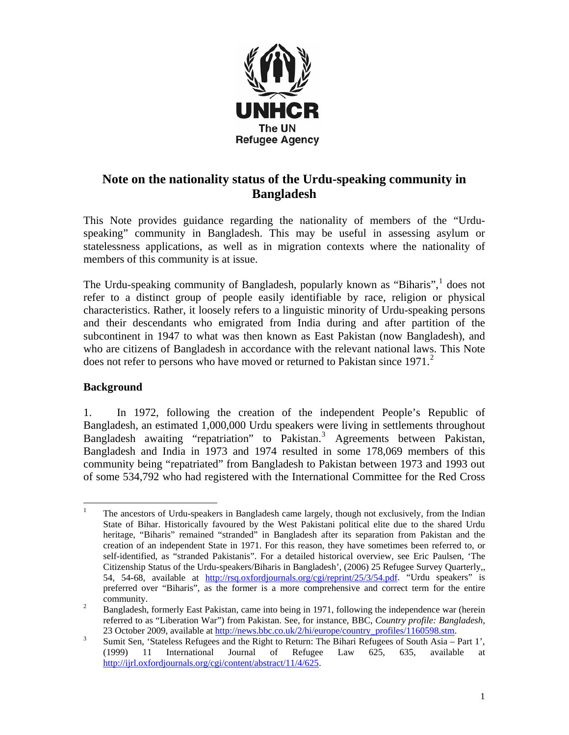

## **Note on the nationality status of the Urdu-speaking community in Bangladesh**

This Note provides guidance regarding the nationality of members of the "Urduspeaking" community in Bangladesh. This may be useful in assessing asylum or statelessness applications, as well as in migration contexts where the nationality of members of this community is at issue.

The Urdu-speaking community of Bangladesh, popularly known as "Biharis",  $\frac{1}{1}$  $\frac{1}{1}$  $\frac{1}{1}$  does not refer to a distinct group of people easily identifiable by race, religion or physical characteristics. Rather, it loosely refers to a linguistic minority of Urdu-speaking persons and their descendants who emigrated from India during and after partition of the subcontinent in 1947 to what was then known as East Pakistan (now Bangladesh), and who are citizens of Bangladesh in accordance with the relevant national laws. This Note does not refer to persons who have moved or returned to Pakistan since  $1971$ <sup>[2](#page-0-1)</sup>

## **Background**

1. In 1972, following the creation of the independent People's Republic of Bangladesh, an estimated 1,000,000 Urdu speakers were living in settlements throughout Bangladesh awaiting "repatriation" to Pakistan.<sup>[3](#page-0-2)</sup> Agreements between Pakistan, Bangladesh and India in 1973 and 1974 resulted in some 178,069 members of this community being "repatriated" from Bangladesh to Pakistan between 1973 and 1993 out of some 534,792 who had registered with the International Committee for the Red Cross

<span id="page-0-0"></span> $\frac{1}{1}$  The ancestors of Urdu-speakers in Bangladesh came largely, though not exclusively, from the Indian State of Bihar. Historically favoured by the West Pakistani political elite due to the shared Urdu heritage, "Biharis" remained "stranded" in Bangladesh after its separation from Pakistan and the creation of an independent State in 1971. For this reason, they have sometimes been referred to, or self-identified, as "stranded Pakistanis". For a detailed historical overview, see Eric Paulsen, 'The Citizenship Status of the Urdu-speakers/Biharis in Bangladesh', (2006) 25 Refugee Survey Quarterly,, 54, 54-68, available at [http://rsq.oxfordjournals.org/cgi/reprint/25/3/54.pdf.](http://rsq.oxfordjournals.org/cgi/reprint/25/3/54.pdf) "Urdu speakers" is preferred over "Biharis", as the former is a more comprehensive and correct term for the entire  $\frac{1}{2}$  community.

<span id="page-0-1"></span>Bangladesh, formerly East Pakistan, came into being in 1971, following the independence war (herein referred to as "Liberation War") from Pakistan. See, for instance, BBC, *Country profile: Bangladesh*, 23 October 2009, available at  $\underline{\text{http://news.bbc.co.uk/2/hi/europe/country}$  profiles/1160598.stm.<br>3 Sumit Son. 'Stateless Pofugoes and the Bight to Boturn: The Bibari Pofugoes of South Agia

<span id="page-0-2"></span>Sumit Sen, 'Stateless Refugees and the Right to Return: The Bihari Refugees of South Asia – Part 1', (1999) 11 International Journal of Refugee Law 625, 635, available at <http://ijrl.oxfordjournals.org/cgi/content/abstract/11/4/625>.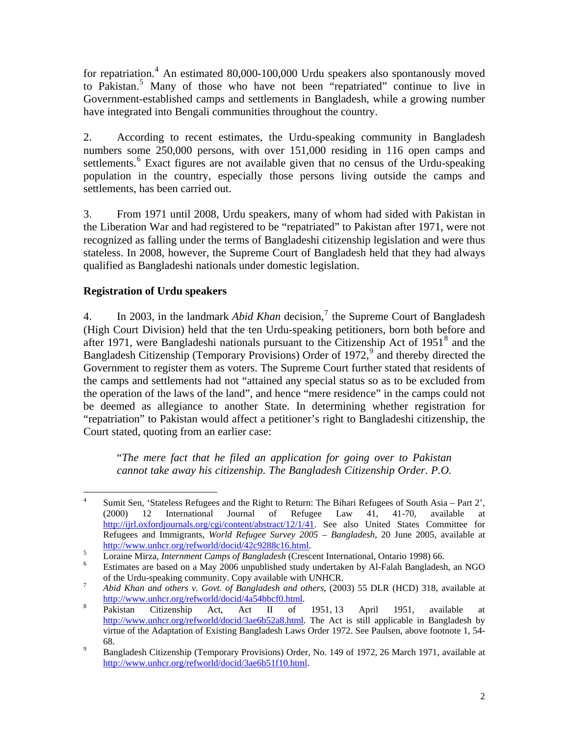for repatriation.<sup>4</sup> An estimated 80,000-100,000 Urdu speakers also spontanously moved to Pakistan.<sup>5</sup> Many of those who have not been "repatriated" continue to live in Government-established camps and settlements in Bangladesh, while a growing number have integrated into Bengali communities throughout the country.

2. According to recent estimates, the Urdu-speaking community in Bangladesh numbers some 250,000 persons, with over 151,000 residing in 116 open camps and settlements.<sup>[6](#page-1-0)</sup> Exact figures are not available given that no census of the Urdu-speaking population in the country, especially those persons living outside the camps and settlements, has been carried out.

3. From 1971 until 2008, Urdu speakers, many of whom had sided with Pakistan in the Liberation War and had registered to be "repatriated" to Pakistan after 1971, were not recognized as falling under the terms of Bangladeshi citizenship legislation and were thus stateless. In 2008, however, the Supreme Court of Bangladesh held that they had always qualified as Bangladeshi nationals under domestic legislation.

## **Registration of Urdu speakers**

4. In 2003, in the landmark *Abid Khan* decision,<sup>[7](#page-1-1)</sup> the Supreme Court of Bangladesh (High Court Division) held that the ten Urdu-speaking petitioners, born both before and after 1971, were Bangladeshi nationals pursuant to the Citizenship Act of 1951<sup>[8](#page-1-2)</sup> and the Bangladesh Citizenship (Temporary Provisions) Order of 1[9](#page-1-3)72,<sup>9</sup> and thereby directed the Government to register them as voters. The Supreme Court further stated that residents of the camps and settlements had not "attained any special status so as to be excluded from the operation of the laws of the land", and hence "mere residence" in the camps could not be deemed as allegiance to another State. In determining whether registration for "repatriation" to Pakistan would affect a petitioner's right to Bangladeshi citizenship, the Court stated, quoting from an earlier case:

"*The mere fact that he filed an application for going over to Pakistan cannot take away his citizenship. The Bangladesh Citizenship Order. P.O.* 

 $\frac{1}{4}$  Sumit Sen, 'Stateless Refugees and the Right to Return: The Bihari Refugees of South Asia – Part 2', (2000) 12 International Journal of Refugee Law 41, 41-70, available at <http://ijrl.oxfordjournals.org/cgi/content/abstract/12/1/41>. See also United States Committee for Refugees and Immigrants, *World Refugee Survey 2005 – Bangladesh*, 20 June 2005, available at <http://www.unhcr.org/refworld/docid/42c9288c16.html>.<br>5 Lorgino Mirge Internment Campe of Bangladesh (Cross

<sup>&</sup>lt;sup>5</sup><br>Loraine Mirza, *Internment Camps of Bangladesh* (Crescent International, Ontario 1998) 66.

<span id="page-1-0"></span>Estimates are based on a May 2006 unpublished study undertaken by Al-Falah Bangladesh, an NGO of the Urdu-speaking community. Copy available with UNHCR.<br> $\frac{7}{4}$  Abid Khan and others y Cout of Bangladesh and others (200)

<span id="page-1-1"></span>*Abid Khan and others v. Govt. of Bangladesh and others*, (2003) 55 DLR (HCD) 318, available at 8 [http://www.unhcr.org/refworld/docid/4a54bbcf0.html.](http://www.unhcr.org/refworld/docid/4a54bbcf0.html)<br>8 Pakistan Citizenship Act, Act II of

<span id="page-1-2"></span>Citizenship Act, Act II of 1951, 13 April 1951, available at [http://www.unhcr.org/refworld/docid/3ae6b52a8.html.](http://www.unhcr.org/refworld/docid/3ae6b52a8.html) The Act is still applicable in Bangladesh by virtue of the Adaptation of Existing Bangladesh Laws Order 1972. See Paulsen, above footnote 1, 54- 9 68.

<span id="page-1-3"></span>Bangladesh Citizenship (Temporary Provisions) Order, No. 149 of 1972, 26 March 1971, available at [http://www.unhcr.org/refworld/docid/3ae6b51f10.html.](http://www.unhcr.org/refworld/docid/3ae6b51f10.html)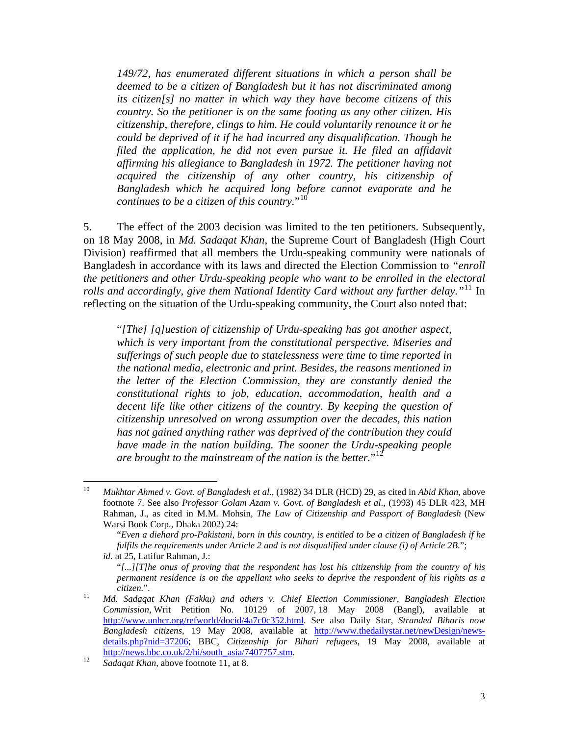*149/72, has enumerated different situations in which a person shall be deemed to be a citizen of Bangladesh but it has not discriminated among its citizen[s] no matter in which way they have become citizens of this country. So the petitioner is on the same footing as any other citizen. His citizenship, therefore, clings to him. He could voluntarily renounce it or he could be deprived of it if he had incurred any disqualification. Though he*  filed the application, he did not even pursue it. He filed an affidavit *affirming his allegiance to Bangladesh in 1972. The petitioner having not acquired the citizenship of any other country, his citizenship of Bangladesh which he acquired long before cannot evaporate and he continues to be a citizen of this country.*"<sup>[10](#page-2-0)</sup>

5. The effect of the 2003 decision was limited to the ten petitioners. Subsequently, on 18 May 2008, in *Md. Sadaqat Khan*, the Supreme Court of Bangladesh (High Court Division) reaffirmed that all members the Urdu-speaking community were nationals of Bangladesh in accordance with its laws and directed the Election Commission to *"enroll the petitioners and other Urdu-speaking people who want to be enrolled in the electoral rolls and accordingly, give them National Identity Card without any further delay."*[11](#page-2-1) In reflecting on the situation of the Urdu-speaking community, the Court also noted that:

"*[The] [q]uestion of citizenship of Urdu-speaking has got another aspect, which is very important from the constitutional perspective. Miseries and sufferings of such people due to statelessness were time to time reported in the national media, electronic and print. Besides, the reasons mentioned in the letter of the Election Commission, they are constantly denied the constitutional rights to job, education, accommodation, health and a decent life like other citizens of the country. By keeping the question of citizenship unresolved on wrong assumption over the decades, this nation has not gained anything rather was deprived of the contribution they could have made in the nation building. The sooner the Urdu-speaking people are brought to the mainstream of the nation is the better.*"[12](#page-2-2)

<span id="page-2-0"></span> $10<sup>10</sup>$ 10 *Mukhtar Ahmed v. Govt. of Bangladesh et al*., (1982) 34 DLR (HCD) 29, as cited in *Abid Khan*, above footnote 7. See also *Professor Golam Azam v. Govt. of Bangladesh et al*., (1993) 45 DLR 423, MH Rahman, J., as cited in M.M. Mohsin, *The Law of Citizenship and Passport of Bangladesh* (New Warsi Book Corp., Dhaka 2002) 24:

<sup>&</sup>quot;*Even a diehard pro-Pakistani, born in this country, is entitled to be a citizen of Bangladesh if he fulfils the requirements under Article 2 and is not disqualified under clause (i) of Article 2B*."; *id.* at 25, Latifur Rahman, J.:

<sup>&</sup>quot;*[...][T]he onus of proving that the respondent has lost his citizenship from the country of his permanent residence is on the appellant who seeks to deprive the respondent of his rights as a* 

<span id="page-2-1"></span>*citizen.*". 11 *Md. Sadaqat Khan (Fakku) and others v. Chief Election Commissioner, Bangladesh Election Commission*, Writ Petition No. 10129 of 2007, 18 May 2008 (Bangl), available at [http://www.unhcr.org/refworld/docid/4a7c0c352.html.](http://www.unhcr.org/refworld/docid/4a7c0c352.html) See also Daily Star, *Stranded Biharis now Bangladesh citizens*, 19 May 2008, available at [http://www.thedailystar.net/newDesign/news](http://www.thedailystar.net/newDesign/news-details.php?nid=37206)[details.php?nid=37206;](http://www.thedailystar.net/newDesign/news-details.php?nid=37206) BBC, *Citizenship for Bihari refugees*, 19 May 2008, available at [http://news.bbc.co.uk/2/hi/south\\_asia/7407757.stm.](http://news.bbc.co.uk/2/hi/south_asia/7407757.stm) 12 *Sadaqat Khan*, above footnote 11, at 8*.*

<span id="page-2-2"></span>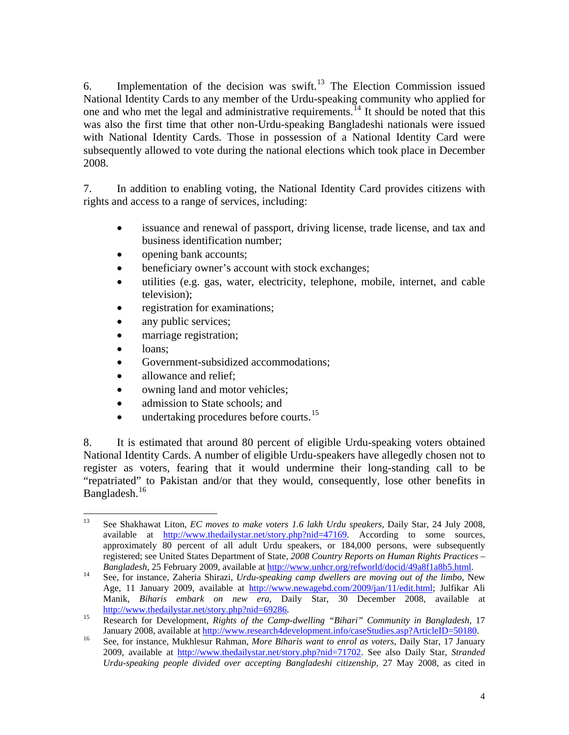6. Implementation of the decision was swift.<sup>[13](#page-3-0)</sup> The Election Commission issued National Identity Cards to any member of the Urdu-speaking community who applied for one and who met the legal and administrative requirements.<sup>[14](#page-3-1)</sup> It should be noted that this was also the first time that other non-Urdu-speaking Bangladeshi nationals were issued with National Identity Cards. Those in possession of a National Identity Card were subsequently allowed to vote during the national elections which took place in December 2008.

7. In addition to enabling voting, the National Identity Card provides citizens with rights and access to a range of services, including:

- issuance and renewal of passport, driving license, trade license, and tax and business identification number;
- opening bank accounts;
- beneficiary owner's account with stock exchanges;
- utilities (e.g. gas, water, electricity, telephone, mobile, internet, and cable television);
- registration for examinations;
- any public services;
- marriage registration;
- loans:
- Government-subsidized accommodations;
- allowance and relief:
- owning land and motor vehicles;
- admission to State schools; and
- $\bullet$  undertaking procedures before courts.<sup>[15](#page-3-2)</sup>

8. It is estimated that around 80 percent of eligible Urdu-speaking voters obtained National Identity Cards. A number of eligible Urdu-speakers have allegedly chosen not to register as voters, fearing that it would undermine their long-standing call to be "repatriated" to Pakistan and/or that they would, consequently, lose other benefits in Bangladesh.<sup>[16](#page-3-3)</sup>

<span id="page-3-0"></span><sup>13</sup> 13 See Shakhawat Liton, *EC moves to make voters 1.6 lakh Urdu speakers*, Daily Star, 24 July 2008, available at <http://www.thedailystar.net/story.php?nid=47169>. According to some sources, approximately 80 percent of all adult Urdu speakers, or 184,000 persons, were subsequently registered; see United States Department of State, *2008 Country Reports on Human Rights Practices –* 

<span id="page-3-1"></span>*Bangladesh*, 25 February 2009, available at <http://www.unhcr.org/refworld/docid/49a8f1a8b5.html>.<br><sup>14</sup> See, for instance, Zaheria Shirazi, *Urdu-speaking camp dwellers are moving out of the limbo*, New Age, 11 January 2009, available at [http://www.newagebd.com/2009/jan/11/edit.html;](http://www.newagebd.com/2009/jan/11/edit.html) Julfikar Ali Manik, *Biharis embark on new era*, Daily Star, 30 December 2008, available at [http://www.thedailystar.net/story.php?nid=69286.](http://www.thedailystar.net/story.php?nid=69286)<br><sup>15</sup> Research for Development, *Rights of the Camp-dwelling "Bihari" Community in Bangladesh*, 17

<span id="page-3-2"></span>January 2008, available at<http://www.research4development.info/caseStudies.asp?ArticleID=50180>. 16 See, for instance, Mukhlesur Rahman, *More Biharis want to enrol as voters*, Daily Star, 17 January

<span id="page-3-3"></span><sup>2009,</sup> available at [http://www.thedailystar.net/story.php?nid=71702.](http://www.thedailystar.net/story.php?nid=71702) See also Daily Star, *Stranded Urdu-speaking people divided over accepting Bangladeshi citizenship*, 27 May 2008, as cited in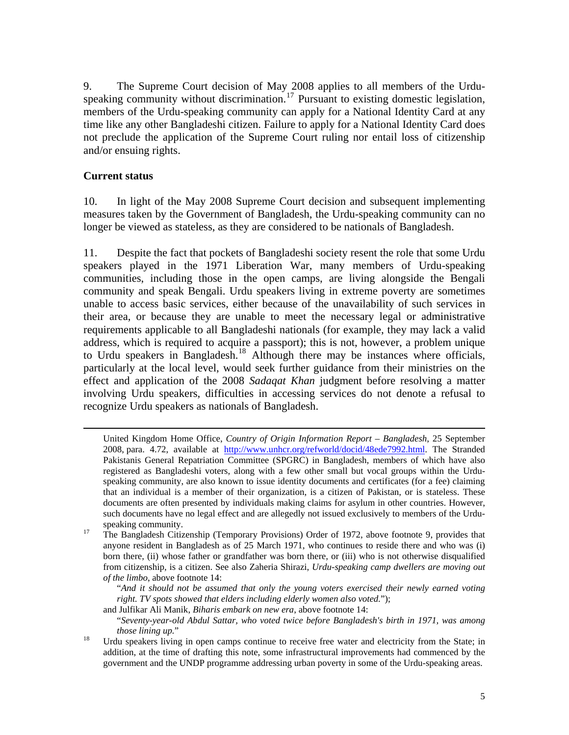9. The Supreme Court decision of May 2008 applies to all members of the Urdu-speaking community without discrimination.<sup>[17](#page-4-0)</sup> Pursuant to existing domestic legislation, members of the Urdu-speaking community can apply for a National Identity Card at any time like any other Bangladeshi citizen. Failure to apply for a National Identity Card does not preclude the application of the Supreme Court ruling nor entail loss of citizenship and/or ensuing rights.

## **Current status**

10. In light of the May 2008 Supreme Court decision and subsequent implementing measures taken by the Government of Bangladesh, the Urdu-speaking community can no longer be viewed as stateless, as they are considered to be nationals of Bangladesh.

11. Despite the fact that pockets of Bangladeshi society resent the role that some Urdu speakers played in the 1971 Liberation War, many members of Urdu-speaking communities, including those in the open camps, are living alongside the Bengali community and speak Bengali. Urdu speakers living in extreme poverty are sometimes unable to access basic services, either because of the unavailability of such services in their area, or because they are unable to meet the necessary legal or administrative requirements applicable to all Bangladeshi nationals (for example, they may lack a valid address, which is required to acquire a passport); this is not, however, a problem unique to Urdu speakers in Bangladesh.<sup>[18](#page-4-1)</sup> Although there may be instances where officials, particularly at the local level, would seek further guidance from their ministries on the effect and application of the 2008 *Sadaqat Khan* judgment before resolving a matter involving Urdu speakers, difficulties in accessing services do not denote a refusal to recognize Urdu speakers as nationals of Bangladesh.

"*And it should not be assumed that only the young voters exercised their newly earned voting right. TV spots showed that elders including elderly women also voted.*");

United Kingdom Home Office, *Country of Origin Information Report – Bangladesh*, 25 September 2008, para. 4.72, available at <http://www.unhcr.org/refworld/docid/48ede7992.html>. The Stranded Pakistanis General Repatriation Committee (SPGRC) in Bangladesh, members of which have also registered as Bangladeshi voters, along with a few other small but vocal groups within the Urduspeaking community, are also known to issue identity documents and certificates (for a fee) claiming that an individual is a member of their organization, is a citizen of Pakistan, or is stateless. These documents are often presented by individuals making claims for asylum in other countries. However, such documents have no legal effect and are allegedly not issued exclusively to members of the Urdu-

<span id="page-4-0"></span>speaking community.<br><sup>17</sup> The Bangladesh Citizenship (Temporary Provisions) Order of 1972, above footnote 9, provides that anyone resident in Bangladesh as of 25 March 1971, who continues to reside there and who was (i) born there, (ii) whose father or grandfather was born there, or (iii) who is not otherwise disqualified from citizenship, is a citizen. See also Zaheria Shirazi, *Urdu-speaking camp dwellers are moving out of the limbo*, above footnote 14:

and Julfikar Ali Manik, *Biharis embark on new era*, above footnote 14:

<sup>&</sup>quot;*Seventy-year-old Abdul Sattar, who voted twice before Bangladesh's birth in 1971, was among those lining up.*"<br><sup>18</sup> Urdu speakers living in open camps continue to receive free water and electricity from the State; in

<span id="page-4-1"></span>addition, at the time of drafting this note, some infrastructural improvements had commenced by the government and the UNDP programme addressing urban poverty in some of the Urdu-speaking areas.